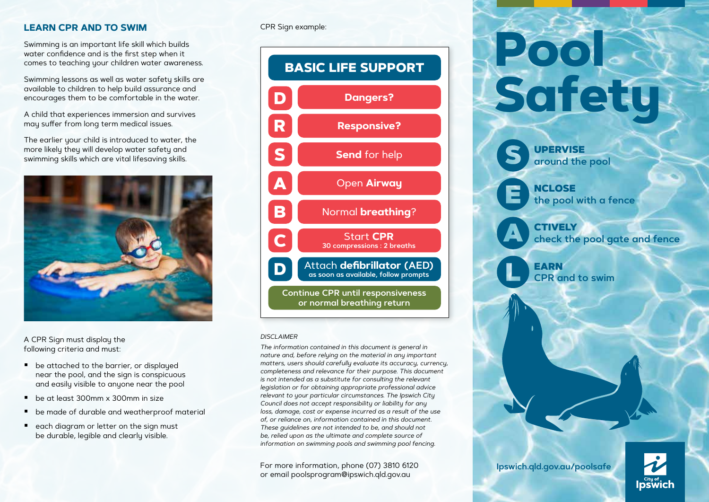# **LEARN CPR AND TO SWIM**

Swimming is an important life skill which builds water confidence and is the first step when it comes to teaching your children water awareness.

Swimming lessons as well as water safety skills are available to children to help build assurance and encourages them to be comfortable in the water.

A child that experiences immersion and survives may suffer from long term medical issues.

The earlier your child is introduced to water, the more likely they will develop water safety and swimming skills which are vital lifesaving skills.



A CPR Sign must display the following criteria and must:

- be attached to the barrier, or displayed near the pool, and the sign is conspicuous and easily visible to anyone near the pool
- be at least 300mm x 300mm in size
- **•** be made of durable and weatherproof material
- each diagram or letter on the sign must be durable, legible and clearly visible.

### CPR Sign example:



#### *DISCLAIMER*

*The information contained in this document is general in nature and, before relying on the material in any important matters, users should carefully evaluate its accuracy, currency, completeness and relevance for their purpose. This document is not intended as a substitute for consulting the relevant legislation or for obtaining appropriate professional advice relevant to your particular circumstances. The Ipswich City Council does not accept responsibility or liability for any loss, damage, cost or expense incurred as a result of the use of, or reliance on, information contained in this document. These guidelines are not intended to be, and should not be, relied upon as the ultimate and complete source of information on swimming pools and swimming pool fencing.*

For more information, phone (07) 3810 6120 or email [poolsprogram@ipswich.qld.gov.au](mailto:poolsprogram@ipswich.qld.gov.au) 

# **Pool Safety**

UPERVISE **around the pool**

**NCLOSE the pool with a fence**

CTIVELY

**check the pool gate and fence**

EARN **CPR and to swim**



**[Ipswich.qld.gov.au/poolsafe](http://Ipswich.qld.gov.au/poolsafe)**